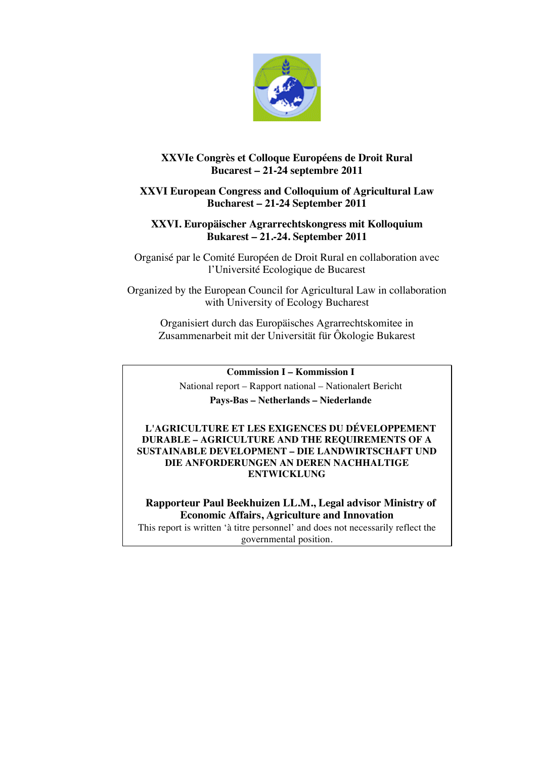

# **XXVIe Congrès et Colloque Européens de Droit Rural Bucarest – 21-24 septembre 2011**

# **XXVI European Congress and Colloquium of Agricultural Law Bucharest – 21-24 September 2011**

# **XXVI. Europäischer Agrarrechtskongress mit Kolloquium Bukarest – 21.-24. September 2011**

Organisé par le Comité Européen de Droit Rural en collaboration avec l'Université Ecologique de Bucarest

Organized by the European Council for Agricultural Law in collaboration with University of Ecology Bucharest

Organisiert durch das Europäisches Agrarrechtskomitee in Zusammenarbeit mit der Universität für Ôkologie Bukarest

**Commission I – Kommission I**

National report – Rapport national – Nationalert Bericht **Pays-Bas – Netherlands – Niederlande**

**L'AGRICULTURE ET LES EXIGENCES DU DÉVELOPPEMENT DURABLE – AGRICULTURE AND THE REQUIREMENTS OF A SUSTAINABLE DEVELOPMENT – DIE LANDWIRTSCHAFT UND DIE ANFORDERUNGEN AN DEREN NACHHALTIGE ENTWICKLUNG**

**Rapporteur Paul Beekhuizen LL.M., Legal advisor Ministry of Economic Affairs, Agriculture and Innovation** This report is written 'à titre personnel' and does not necessarily reflect the

governmental position.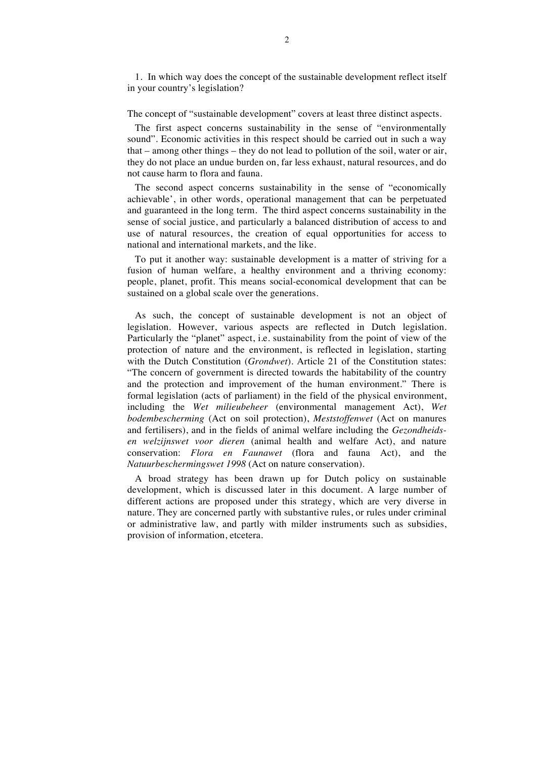1. In which way does the concept of the sustainable development reflect itself in your country's legislation?

### The concept of "sustainable development" covers at least three distinct aspects.

The first aspect concerns sustainability in the sense of "environmentally sound". Economic activities in this respect should be carried out in such a way that – among other things – they do not lead to pollution of the soil, water or air, they do not place an undue burden on, far less exhaust, natural resources, and do not cause harm to flora and fauna.

The second aspect concerns sustainability in the sense of "economically achievable', in other words, operational management that can be perpetuated and guaranteed in the long term. The third aspect concerns sustainability in the sense of social justice, and particularly a balanced distribution of access to and use of natural resources, the creation of equal opportunities for access to national and international markets, and the like.

To put it another way: sustainable development is a matter of striving for a fusion of human welfare, a healthy environment and a thriving economy: people, planet, profit. This means social-economical development that can be sustained on a global scale over the generations.

As such, the concept of sustainable development is not an object of legislation. However, various aspects are reflected in Dutch legislation. Particularly the "planet" aspect, i.e. sustainability from the point of view of the protection of nature and the environment, is reflected in legislation, starting with the Dutch Constitution (*Grondwet*). Article 21 of the Constitution states: "The concern of government is directed towards the habitability of the country and the protection and improvement of the human environment." There is formal legislation (acts of parliament) in the field of the physical environment, including the *Wet milieubeheer* (environmental management Act), *Wet bodembescherming* (Act on soil protection), *Meststoffenwet* (Act on manures and fertilisers), and in the fields of animal welfare including the *Gezondheidsen welzijnswet voor dieren* (animal health and welfare Act), and nature conservation: *Flora en Faunawet* (flora and fauna Act), and the *Natuurbeschermingswet 1998* (Act on nature conservation).

A broad strategy has been drawn up for Dutch policy on sustainable development, which is discussed later in this document. A large number of different actions are proposed under this strategy, which are very diverse in nature. They are concerned partly with substantive rules, or rules under criminal or administrative law, and partly with milder instruments such as subsidies, provision of information, etcetera.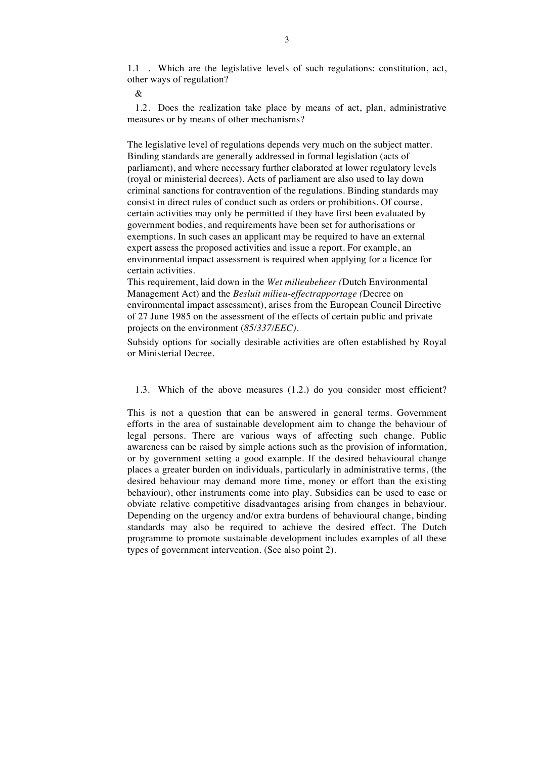1.1 . Which are the legislative levels of such regulations: constitution, act, other ways of regulation?

&

1.2. Does the realization take place by means of act, plan, administrative measures or by means of other mechanisms?

The legislative level of regulations depends very much on the subject matter. Binding standards are generally addressed in formal legislation (acts of parliament), and where necessary further elaborated at lower regulatory levels (royal or ministerial decrees). Acts of parliament are also used to lay down criminal sanctions for contravention of the regulations. Binding standards may consist in direct rules of conduct such as orders or prohibitions. Of course, certain activities may only be permitted if they have first been evaluated by government bodies, and requirements have been set for authorisations or exemptions. In such cases an applicant may be required to have an external expert assess the proposed activities and issue a report. For example, an environmental impact assessment is required when applying for a licence for certain activities.

This requirement, laid down in the *Wet milieubeheer (*Dutch Environmental Management Act) and the *Besluit milieu-effectrapportage (*Decree on environmental impact assessment), arises from the European Council Directive of 27 June 1985 on the assessment of the effects of certain public and private projects on the environment (*85/337/EEC).*

Subsidy options for socially desirable activities are often established by Royal or Ministerial Decree.

1.3. Which of the above measures (1.2.) do you consider most efficient?

This is not a question that can be answered in general terms. Government efforts in the area of sustainable development aim to change the behaviour of legal persons. There are various ways of affecting such change. Public awareness can be raised by simple actions such as the provision of information, or by government setting a good example. If the desired behavioural change places a greater burden on individuals, particularly in administrative terms, (the desired behaviour may demand more time, money or effort than the existing behaviour), other instruments come into play. Subsidies can be used to ease or obviate relative competitive disadvantages arising from changes in behaviour. Depending on the urgency and/or extra burdens of behavioural change, binding standards may also be required to achieve the desired effect. The Dutch programme to promote sustainable development includes examples of all these types of government intervention. (See also point 2).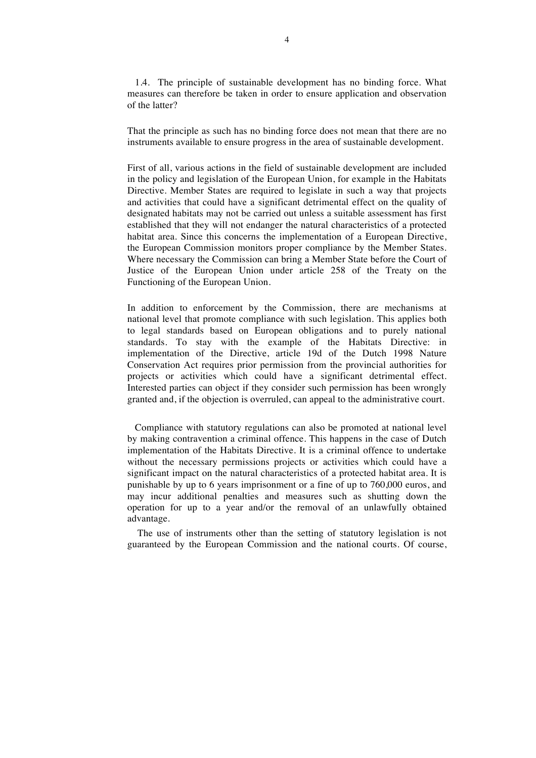1.4. The principle of sustainable development has no binding force. What measures can therefore be taken in order to ensure application and observation of the latter?

That the principle as such has no binding force does not mean that there are no instruments available to ensure progress in the area of sustainable development.

First of all, various actions in the field of sustainable development are included in the policy and legislation of the European Union, for example in the Habitats Directive. Member States are required to legislate in such a way that projects and activities that could have a significant detrimental effect on the quality of designated habitats may not be carried out unless a suitable assessment has first established that they will not endanger the natural characteristics of a protected habitat area. Since this concerns the implementation of a European Directive, the European Commission monitors proper compliance by the Member States. Where necessary the Commission can bring a Member State before the Court of Justice of the European Union under article 258 of the Treaty on the Functioning of the European Union.

In addition to enforcement by the Commission, there are mechanisms at national level that promote compliance with such legislation. This applies both to legal standards based on European obligations and to purely national standards. To stay with the example of the Habitats Directive: in implementation of the Directive, article 19d of the Dutch 1998 Nature Conservation Act requires prior permission from the provincial authorities for projects or activities which could have a significant detrimental effect. Interested parties can object if they consider such permission has been wrongly granted and, if the objection is overruled, can appeal to the administrative court.

Compliance with statutory regulations can also be promoted at national level by making contravention a criminal offence. This happens in the case of Dutch implementation of the Habitats Directive. It is a criminal offence to undertake without the necessary permissions projects or activities which could have a significant impact on the natural characteristics of a protected habitat area. It is punishable by up to 6 years imprisonment or a fine of up to 760,000 euros, and may incur additional penalties and measures such as shutting down the operation for up to a year and/or the removal of an unlawfully obtained advantage.

 The use of instruments other than the setting of statutory legislation is not guaranteed by the European Commission and the national courts. Of course,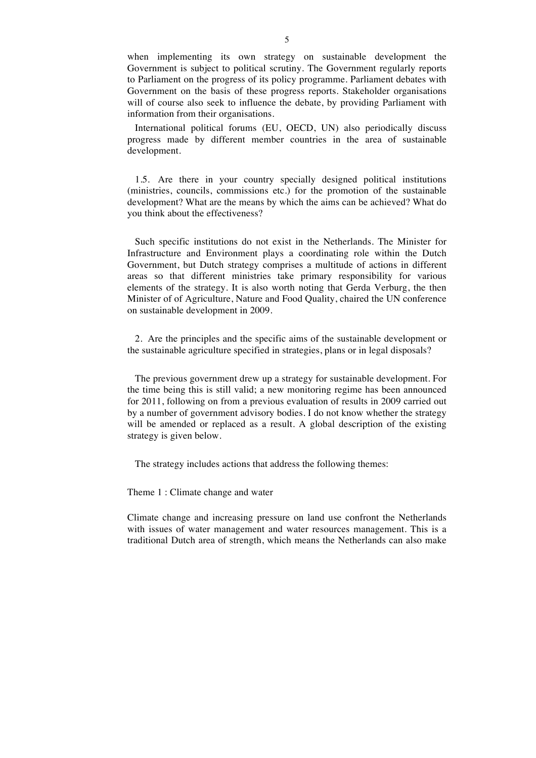when implementing its own strategy on sustainable development the Government is subject to political scrutiny. The Government regularly reports to Parliament on the progress of its policy programme. Parliament debates with Government on the basis of these progress reports. Stakeholder organisations will of course also seek to influence the debate, by providing Parliament with information from their organisations.

International political forums (EU, OECD, UN) also periodically discuss progress made by different member countries in the area of sustainable development.

1.5. Are there in your country specially designed political institutions (ministries, councils, commissions etc.) for the promotion of the sustainable development? What are the means by which the aims can be achieved? What do you think about the effectiveness?

Such specific institutions do not exist in the Netherlands. The Minister for Infrastructure and Environment plays a coordinating role within the Dutch Government, but Dutch strategy comprises a multitude of actions in different areas so that different ministries take primary responsibility for various elements of the strategy. It is also worth noting that Gerda Verburg, the then Minister of of Agriculture, Nature and Food Quality, chaired the UN conference on sustainable development in 2009.

2. Are the principles and the specific aims of the sustainable development or the sustainable agriculture specified in strategies, plans or in legal disposals?

The previous government drew up a strategy for sustainable development. For the time being this is still valid; a new monitoring regime has been announced for 2011, following on from a previous evaluation of results in 2009 carried out by a number of government advisory bodies. I do not know whether the strategy will be amended or replaced as a result. A global description of the existing strategy is given below.

The strategy includes actions that address the following themes:

Theme 1 : Climate change and water

Climate change and increasing pressure on land use confront the Netherlands with issues of water management and water resources management. This is a traditional Dutch area of strength, which means the Netherlands can also make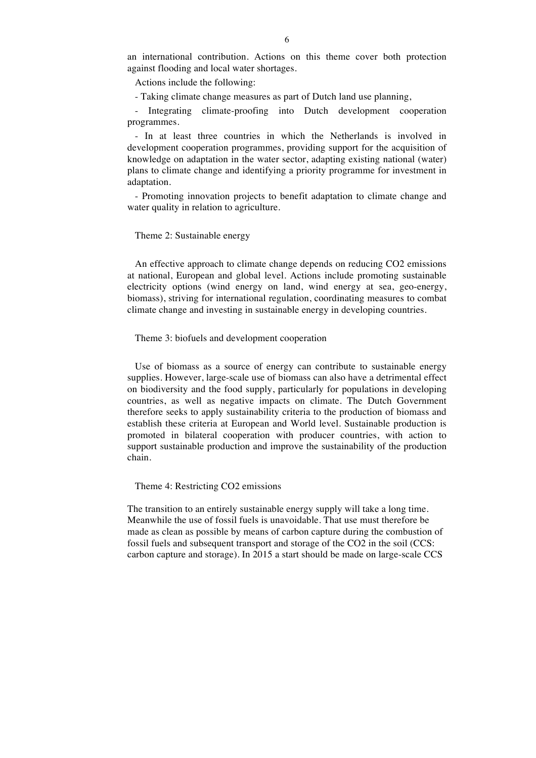an international contribution. Actions on this theme cover both protection against flooding and local water shortages.

Actions include the following:

- Taking climate change measures as part of Dutch land use planning,

Integrating climate-proofing into Dutch development cooperation programmes.

- In at least three countries in which the Netherlands is involved in development cooperation programmes, providing support for the acquisition of knowledge on adaptation in the water sector, adapting existing national (water) plans to climate change and identifying a priority programme for investment in adaptation.

- Promoting innovation projects to benefit adaptation to climate change and water quality in relation to agriculture.

### Theme 2: Sustainable energy

An effective approach to climate change depends on reducing CO2 emissions at national, European and global level. Actions include promoting sustainable electricity options (wind energy on land, wind energy at sea, geo-energy, biomass), striving for international regulation, coordinating measures to combat climate change and investing in sustainable energy in developing countries.

### Theme 3: biofuels and development cooperation

Use of biomass as a source of energy can contribute to sustainable energy supplies. However, large-scale use of biomass can also have a detrimental effect on biodiversity and the food supply, particularly for populations in developing countries, as well as negative impacts on climate. The Dutch Government therefore seeks to apply sustainability criteria to the production of biomass and establish these criteria at European and World level. Sustainable production is promoted in bilateral cooperation with producer countries, with action to support sustainable production and improve the sustainability of the production chain.

Theme 4: Restricting CO2 emissions

The transition to an entirely sustainable energy supply will take a long time. Meanwhile the use of fossil fuels is unavoidable. That use must therefore be made as clean as possible by means of carbon capture during the combustion of fossil fuels and subsequent transport and storage of the CO2 in the soil (CCS: carbon capture and storage). In 2015 a start should be made on large-scale CCS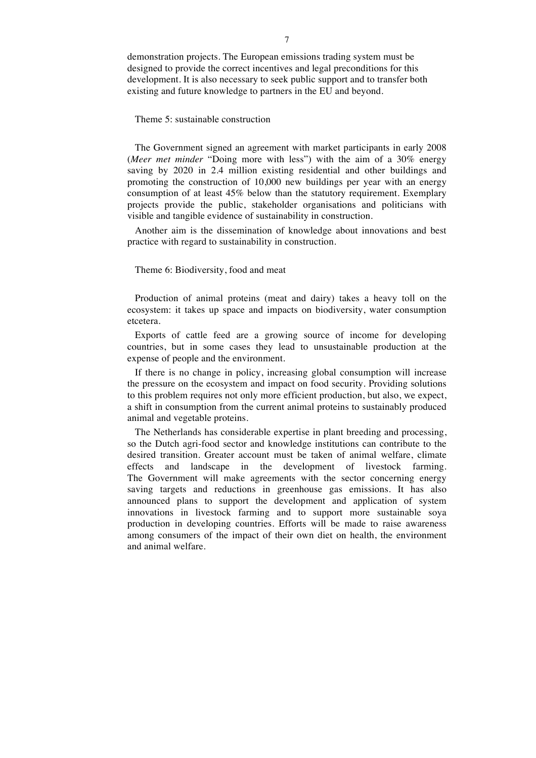demonstration projects. The European emissions trading system must be designed to provide the correct incentives and legal preconditions for this development. It is also necessary to seek public support and to transfer both existing and future knowledge to partners in the EU and beyond.

Theme 5: sustainable construction

The Government signed an agreement with market participants in early 2008 (*Meer met minder* "Doing more with less") with the aim of a 30% energy saving by 2020 in 2.4 million existing residential and other buildings and promoting the construction of 10,000 new buildings per year with an energy consumption of at least 45% below than the statutory requirement. Exemplary projects provide the public, stakeholder organisations and politicians with visible and tangible evidence of sustainability in construction.

Another aim is the dissemination of knowledge about innovations and best practice with regard to sustainability in construction.

Theme 6: Biodiversity, food and meat

Production of animal proteins (meat and dairy) takes a heavy toll on the ecosystem: it takes up space and impacts on biodiversity, water consumption etcetera.

Exports of cattle feed are a growing source of income for developing countries, but in some cases they lead to unsustainable production at the expense of people and the environment.

If there is no change in policy, increasing global consumption will increase the pressure on the ecosystem and impact on food security. Providing solutions to this problem requires not only more efficient production, but also, we expect, a shift in consumption from the current animal proteins to sustainably produced animal and vegetable proteins.

The Netherlands has considerable expertise in plant breeding and processing, so the Dutch agri-food sector and knowledge institutions can contribute to the desired transition. Greater account must be taken of animal welfare, climate effects and landscape in the development of livestock farming. The Government will make agreements with the sector concerning energy saving targets and reductions in greenhouse gas emissions. It has also announced plans to support the development and application of system innovations in livestock farming and to support more sustainable soya production in developing countries. Efforts will be made to raise awareness among consumers of the impact of their own diet on health, the environment and animal welfare.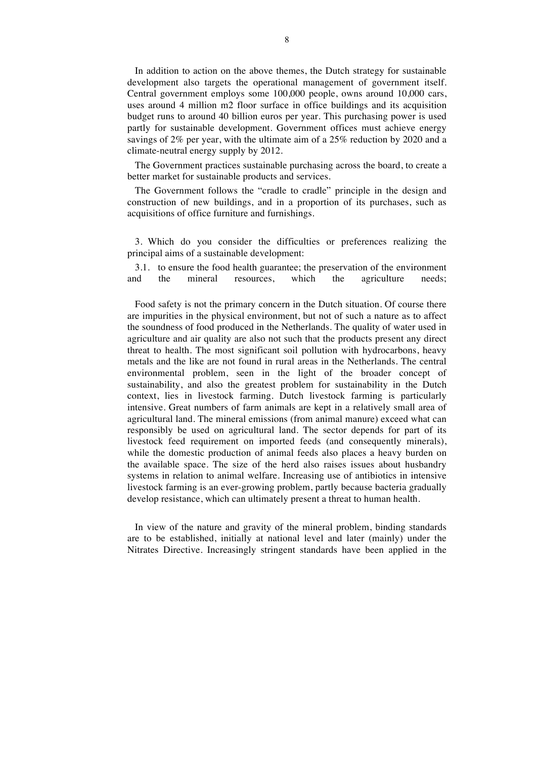In addition to action on the above themes, the Dutch strategy for sustainable development also targets the operational management of government itself. Central government employs some 100,000 people, owns around 10,000 cars, uses around 4 million m2 floor surface in office buildings and its acquisition budget runs to around 40 billion euros per year. This purchasing power is used partly for sustainable development. Government offices must achieve energy savings of 2% per year, with the ultimate aim of a 25% reduction by 2020 and a climate-neutral energy supply by 2012.

The Government practices sustainable purchasing across the board, to create a better market for sustainable products and services.

The Government follows the "cradle to cradle" principle in the design and construction of new buildings, and in a proportion of its purchases, such as acquisitions of office furniture and furnishings.

3. Which do you consider the difficulties or preferences realizing the principal aims of a sustainable development:

3.1. to ensure the food health guarantee; the preservation of the environment and the mineral resources, which the agriculture needs;

Food safety is not the primary concern in the Dutch situation. Of course there are impurities in the physical environment, but not of such a nature as to affect the soundness of food produced in the Netherlands. The quality of water used in agriculture and air quality are also not such that the products present any direct threat to health. The most significant soil pollution with hydrocarbons, heavy metals and the like are not found in rural areas in the Netherlands. The central environmental problem, seen in the light of the broader concept of sustainability, and also the greatest problem for sustainability in the Dutch context, lies in livestock farming. Dutch livestock farming is particularly intensive. Great numbers of farm animals are kept in a relatively small area of agricultural land. The mineral emissions (from animal manure) exceed what can responsibly be used on agricultural land. The sector depends for part of its livestock feed requirement on imported feeds (and consequently minerals), while the domestic production of animal feeds also places a heavy burden on the available space. The size of the herd also raises issues about husbandry systems in relation to animal welfare. Increasing use of antibiotics in intensive livestock farming is an ever-growing problem, partly because bacteria gradually develop resistance, which can ultimately present a threat to human health.

In view of the nature and gravity of the mineral problem, binding standards are to be established, initially at national level and later (mainly) under the Nitrates Directive. Increasingly stringent standards have been applied in the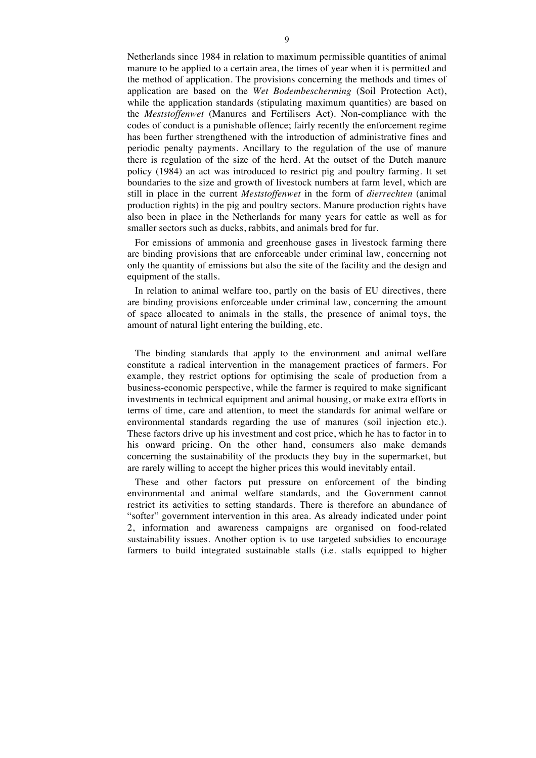Netherlands since 1984 in relation to maximum permissible quantities of animal manure to be applied to a certain area, the times of year when it is permitted and the method of application. The provisions concerning the methods and times of application are based on the *Wet Bodembescherming* (Soil Protection Act), while the application standards (stipulating maximum quantities) are based on the *Meststoffenwet* (Manures and Fertilisers Act). Non-compliance with the codes of conduct is a punishable offence; fairly recently the enforcement regime has been further strengthened with the introduction of administrative fines and periodic penalty payments. Ancillary to the regulation of the use of manure there is regulation of the size of the herd. At the outset of the Dutch manure policy (1984) an act was introduced to restrict pig and poultry farming. It set boundaries to the size and growth of livestock numbers at farm level, which are still in place in the current *Meststoffenwet* in the form of *dierrechten* (animal production rights) in the pig and poultry sectors. Manure production rights have also been in place in the Netherlands for many years for cattle as well as for smaller sectors such as ducks, rabbits, and animals bred for fur.

For emissions of ammonia and greenhouse gases in livestock farming there are binding provisions that are enforceable under criminal law, concerning not only the quantity of emissions but also the site of the facility and the design and equipment of the stalls.

In relation to animal welfare too, partly on the basis of EU directives, there are binding provisions enforceable under criminal law, concerning the amount of space allocated to animals in the stalls, the presence of animal toys, the amount of natural light entering the building, etc.

The binding standards that apply to the environment and animal welfare constitute a radical intervention in the management practices of farmers. For example, they restrict options for optimising the scale of production from a business-economic perspective, while the farmer is required to make significant investments in technical equipment and animal housing, or make extra efforts in terms of time, care and attention, to meet the standards for animal welfare or environmental standards regarding the use of manures (soil injection etc.). These factors drive up his investment and cost price, which he has to factor in to his onward pricing. On the other hand, consumers also make demands concerning the sustainability of the products they buy in the supermarket, but are rarely willing to accept the higher prices this would inevitably entail.

These and other factors put pressure on enforcement of the binding environmental and animal welfare standards, and the Government cannot restrict its activities to setting standards. There is therefore an abundance of "softer" government intervention in this area. As already indicated under point 2, information and awareness campaigns are organised on food-related sustainability issues. Another option is to use targeted subsidies to encourage farmers to build integrated sustainable stalls (i.e. stalls equipped to higher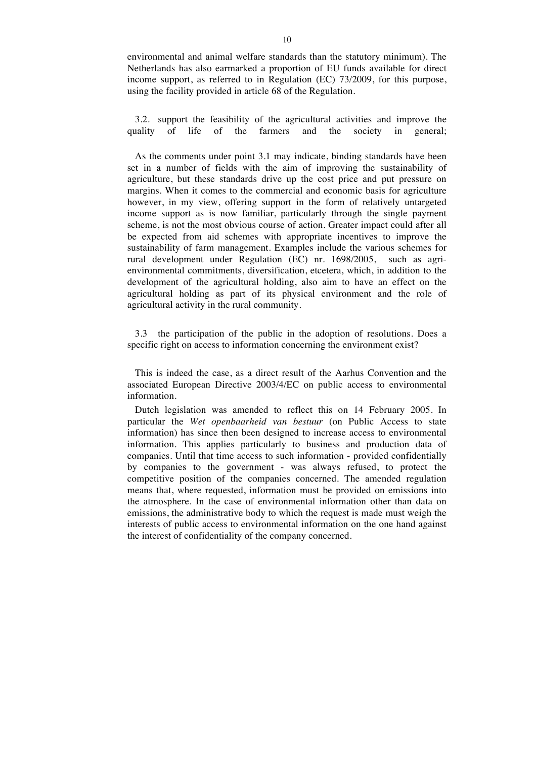environmental and animal welfare standards than the statutory minimum). The Netherlands has also earmarked a proportion of EU funds available for direct income support, as referred to in Regulation (EC) 73/2009, for this purpose, using the facility provided in article 68 of the Regulation.

3.2. support the feasibility of the agricultural activities and improve the quality of life of the farmers and the society in general;

As the comments under point 3.1 may indicate, binding standards have been set in a number of fields with the aim of improving the sustainability of agriculture, but these standards drive up the cost price and put pressure on margins. When it comes to the commercial and economic basis for agriculture however, in my view, offering support in the form of relatively untargeted income support as is now familiar, particularly through the single payment scheme, is not the most obvious course of action. Greater impact could after all be expected from aid schemes with appropriate incentives to improve the sustainability of farm management. Examples include the various schemes for rural development under Regulation (EC) nr. 1698/2005, such as agrienvironmental commitments, diversification, etcetera, which, in addition to the development of the agricultural holding, also aim to have an effect on the agricultural holding as part of its physical environment and the role of agricultural activity in the rural community.

3.3 the participation of the public in the adoption of resolutions. Does a specific right on access to information concerning the environment exist?

This is indeed the case, as a direct result of the Aarhus Convention and the associated European Directive 2003/4/EC on public access to environmental information.

Dutch legislation was amended to reflect this on 14 February 2005. In particular the *Wet openbaarheid van bestuur* (on Public Access to state information) has since then been designed to increase access to environmental information. This applies particularly to business and production data of companies. Until that time access to such information - provided confidentially by companies to the government - was always refused, to protect the competitive position of the companies concerned. The amended regulation means that, where requested, information must be provided on emissions into the atmosphere. In the case of environmental information other than data on emissions, the administrative body to which the request is made must weigh the interests of public access to environmental information on the one hand against the interest of confidentiality of the company concerned.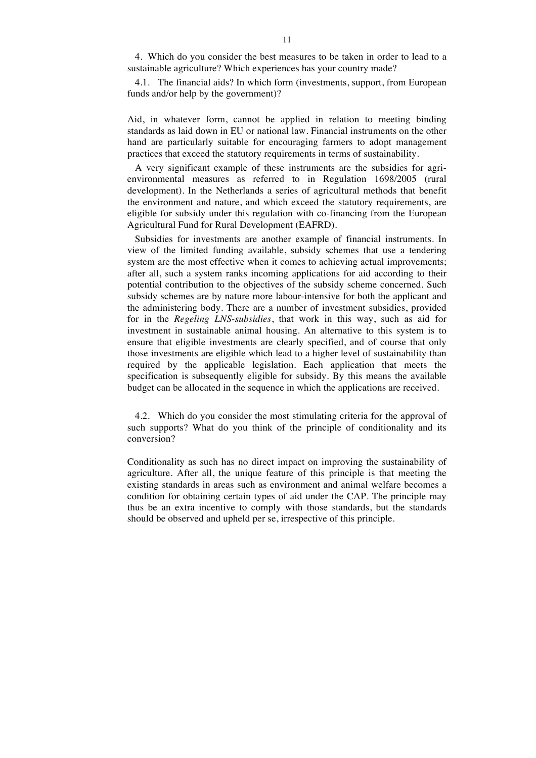4. Which do you consider the best measures to be taken in order to lead to a sustainable agriculture? Which experiences has your country made?

4.1. The financial aids? In which form (investments, support, from European funds and/or help by the government)?

Aid, in whatever form, cannot be applied in relation to meeting binding standards as laid down in EU or national law. Financial instruments on the other hand are particularly suitable for encouraging farmers to adopt management practices that exceed the statutory requirements in terms of sustainability.

A very significant example of these instruments are the subsidies for agrienvironmental measures as referred to in Regulation 1698/2005 (rural development). In the Netherlands a series of agricultural methods that benefit the environment and nature, and which exceed the statutory requirements, are eligible for subsidy under this regulation with co-financing from the European Agricultural Fund for Rural Development (EAFRD).

Subsidies for investments are another example of financial instruments. In view of the limited funding available, subsidy schemes that use a tendering system are the most effective when it comes to achieving actual improvements; after all, such a system ranks incoming applications for aid according to their potential contribution to the objectives of the subsidy scheme concerned. Such subsidy schemes are by nature more labour-intensive for both the applicant and the administering body. There are a number of investment subsidies, provided for in the *Regeling LNS-subsidies*, that work in this way, such as aid for investment in sustainable animal housing. An alternative to this system is to ensure that eligible investments are clearly specified, and of course that only those investments are eligible which lead to a higher level of sustainability than required by the applicable legislation. Each application that meets the specification is subsequently eligible for subsidy. By this means the available budget can be allocated in the sequence in which the applications are received.

4.2. Which do you consider the most stimulating criteria for the approval of such supports? What do you think of the principle of conditionality and its conversion?

Conditionality as such has no direct impact on improving the sustainability of agriculture. After all, the unique feature of this principle is that meeting the existing standards in areas such as environment and animal welfare becomes a condition for obtaining certain types of aid under the CAP. The principle may thus be an extra incentive to comply with those standards, but the standards should be observed and upheld per se, irrespective of this principle.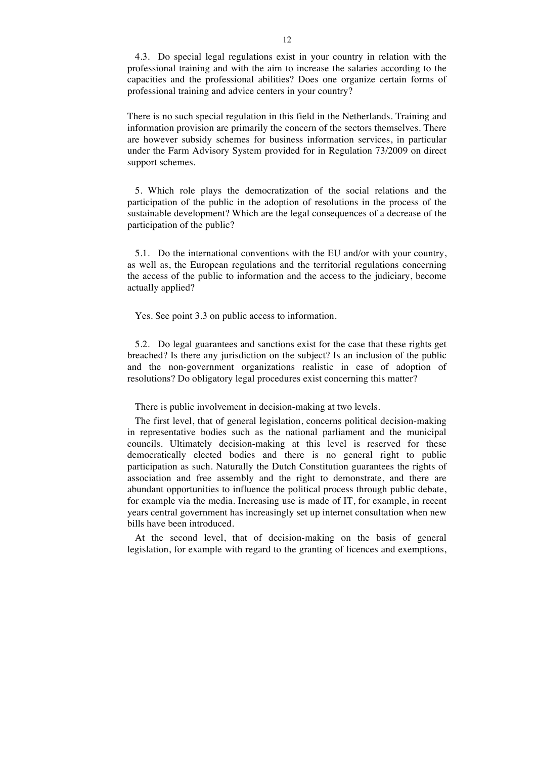4.3. Do special legal regulations exist in your country in relation with the professional training and with the aim to increase the salaries according to the capacities and the professional abilities? Does one organize certain forms of professional training and advice centers in your country?

There is no such special regulation in this field in the Netherlands. Training and information provision are primarily the concern of the sectors themselves. There are however subsidy schemes for business information services, in particular under the Farm Advisory System provided for in Regulation 73/2009 on direct support schemes.

5. Which role plays the democratization of the social relations and the participation of the public in the adoption of resolutions in the process of the sustainable development? Which are the legal consequences of a decrease of the participation of the public?

5.1. Do the international conventions with the EU and/or with your country, as well as, the European regulations and the territorial regulations concerning the access of the public to information and the access to the judiciary, become actually applied?

Yes. See point 3.3 on public access to information.

5.2. Do legal guarantees and sanctions exist for the case that these rights get breached? Is there any jurisdiction on the subject? Is an inclusion of the public and the non-government organizations realistic in case of adoption of resolutions? Do obligatory legal procedures exist concerning this matter?

There is public involvement in decision-making at two levels.

The first level, that of general legislation, concerns political decision-making in representative bodies such as the national parliament and the municipal councils. Ultimately decision-making at this level is reserved for these democratically elected bodies and there is no general right to public participation as such. Naturally the Dutch Constitution guarantees the rights of association and free assembly and the right to demonstrate, and there are abundant opportunities to influence the political process through public debate, for example via the media. Increasing use is made of IT, for example, in recent years central government has increasingly set up internet consultation when new bills have been introduced.

At the second level, that of decision-making on the basis of general legislation, for example with regard to the granting of licences and exemptions,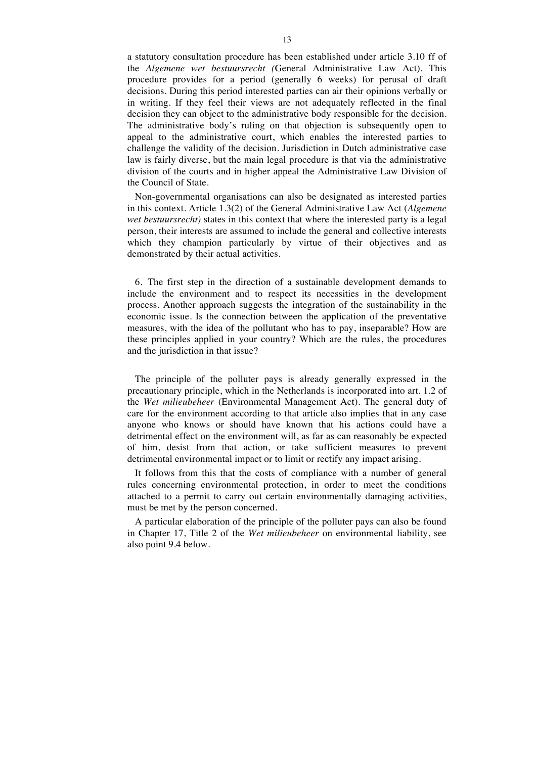a statutory consultation procedure has been established under article 3.10 ff of the *Algemene wet bestuursrecht (*General Administrative Law Act). This procedure provides for a period (generally 6 weeks) for perusal of draft decisions. During this period interested parties can air their opinions verbally or in writing. If they feel their views are not adequately reflected in the final decision they can object to the administrative body responsible for the decision. The administrative body's ruling on that objection is subsequently open to appeal to the administrative court, which enables the interested parties to challenge the validity of the decision. Jurisdiction in Dutch administrative case law is fairly diverse, but the main legal procedure is that via the administrative division of the courts and in higher appeal the Administrative Law Division of the Council of State.

Non-governmental organisations can also be designated as interested parties in this context. Article 1.3(2) of the General Administrative Law Act (*Algemene wet bestuursrecht*) states in this context that where the interested party is a legal person, their interests are assumed to include the general and collective interests which they champion particularly by virtue of their objectives and as demonstrated by their actual activities.

6. The first step in the direction of a sustainable development demands to include the environment and to respect its necessities in the development process. Another approach suggests the integration of the sustainability in the economic issue. Is the connection between the application of the preventative measures, with the idea of the pollutant who has to pay, inseparable? How are these principles applied in your country? Which are the rules, the procedures and the jurisdiction in that issue?

The principle of the polluter pays is already generally expressed in the precautionary principle, which in the Netherlands is incorporated into art. 1.2 of the *Wet milieubeheer* (Environmental Management Act). The general duty of care for the environment according to that article also implies that in any case anyone who knows or should have known that his actions could have a detrimental effect on the environment will, as far as can reasonably be expected of him, desist from that action, or take sufficient measures to prevent detrimental environmental impact or to limit or rectify any impact arising.

It follows from this that the costs of compliance with a number of general rules concerning environmental protection, in order to meet the conditions attached to a permit to carry out certain environmentally damaging activities, must be met by the person concerned.

A particular elaboration of the principle of the polluter pays can also be found in Chapter 17, Title 2 of the *Wet milieubeheer* on environmental liability, see also point 9.4 below.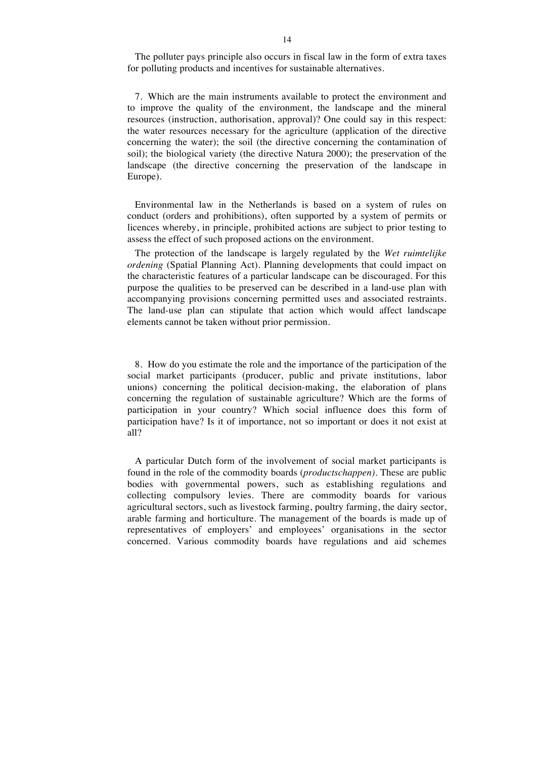The polluter pays principle also occurs in fiscal law in the form of extra taxes for polluting products and incentives for sustainable alternatives.

7. Which are the main instruments available to protect the environment and to improve the quality of the environment, the landscape and the mineral resources (instruction, authorisation, approval)? One could say in this respect: the water resources necessary for the agriculture (application of the directive concerning the water); the soil (the directive concerning the contamination of soil); the biological variety (the directive Natura 2000); the preservation of the landscape (the directive concerning the preservation of the landscape in Europe).

Environmental law in the Netherlands is based on a system of rules on conduct (orders and prohibitions), often supported by a system of permits or licences whereby, in principle, prohibited actions are subject to prior testing to assess the effect of such proposed actions on the environment.

The protection of the landscape is largely regulated by the *Wet ruimtelijke ordening* (Spatial Planning Act). Planning developments that could impact on the characteristic features of a particular landscape can be discouraged. For this purpose the qualities to be preserved can be described in a land-use plan with accompanying provisions concerning permitted uses and associated restraints. The land-use plan can stipulate that action which would affect landscape elements cannot be taken without prior permission.

8. How do you estimate the role and the importance of the participation of the social market participants (producer, public and private institutions, labor unions) concerning the political decision-making, the elaboration of plans concerning the regulation of sustainable agriculture? Which are the forms of participation in your country? Which social influence does this form of participation have? Is it of importance, not so important or does it not exist at all?

A particular Dutch form of the involvement of social market participants is found in the role of the commodity boards (*productschappen)*. These are public bodies with governmental powers, such as establishing regulations and collecting compulsory levies. There are commodity boards for various agricultural sectors, such as livestock farming, poultry farming, the dairy sector, arable farming and horticulture. The management of the boards is made up of representatives of employers' and employees' organisations in the sector concerned. Various commodity boards have regulations and aid schemes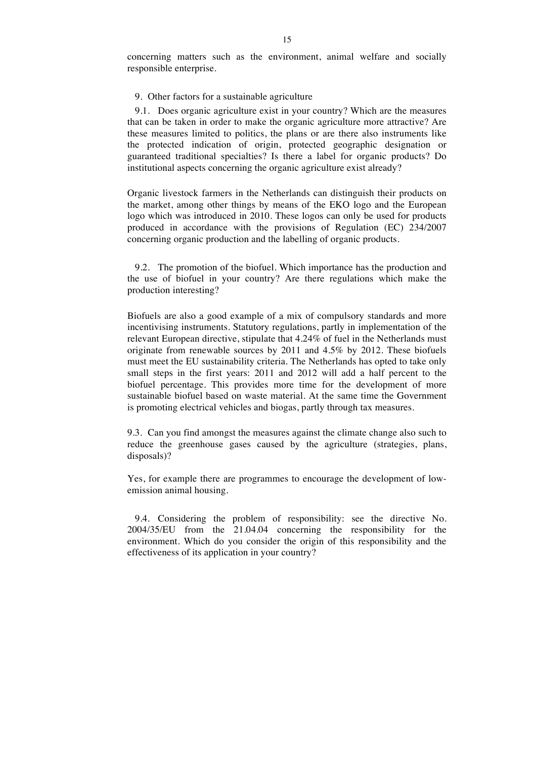concerning matters such as the environment, animal welfare and socially responsible enterprise.

#### 9. Other factors for a sustainable agriculture

9.1. Does organic agriculture exist in your country? Which are the measures that can be taken in order to make the organic agriculture more attractive? Are these measures limited to politics, the plans or are there also instruments like the protected indication of origin, protected geographic designation or guaranteed traditional specialties? Is there a label for organic products? Do institutional aspects concerning the organic agriculture exist already?

Organic livestock farmers in the Netherlands can distinguish their products on the market, among other things by means of the EKO logo and the European logo which was introduced in 2010. These logos can only be used for products produced in accordance with the provisions of Regulation (EC) 234/2007 concerning organic production and the labelling of organic products.

9.2. The promotion of the biofuel. Which importance has the production and the use of biofuel in your country? Are there regulations which make the production interesting?

Biofuels are also a good example of a mix of compulsory standards and more incentivising instruments. Statutory regulations, partly in implementation of the relevant European directive, stipulate that 4.24% of fuel in the Netherlands must originate from renewable sources by 2011 and 4.5% by 2012. These biofuels must meet the EU sustainability criteria. The Netherlands has opted to take only small steps in the first years: 2011 and 2012 will add a half percent to the biofuel percentage. This provides more time for the development of more sustainable biofuel based on waste material. At the same time the Government is promoting electrical vehicles and biogas, partly through tax measures.

9.3. Can you find amongst the measures against the climate change also such to reduce the greenhouse gases caused by the agriculture (strategies, plans, disposals)?

Yes, for example there are programmes to encourage the development of lowemission animal housing.

9.4. Considering the problem of responsibility: see the directive No. 2004/35/EU from the 21.04.04 concerning the responsibility for the environment. Which do you consider the origin of this responsibility and the effectiveness of its application in your country?